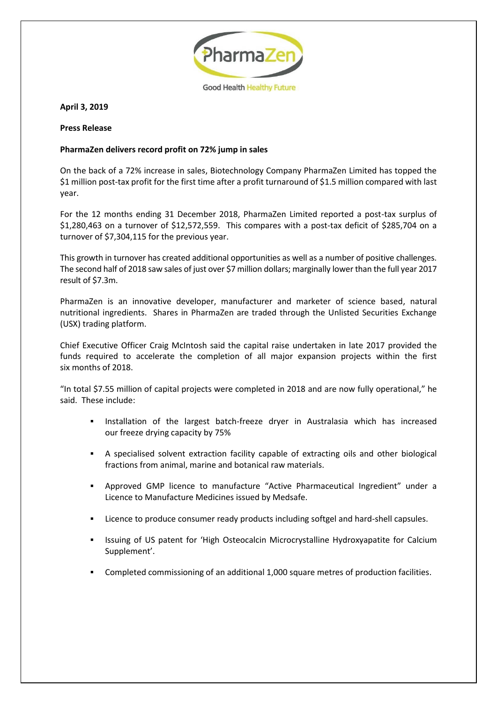

**April 3, 2019**

## **Press Release**

## **PharmaZen delivers record profit on 72% jump in sales**

On the back of a 72% increase in sales, Biotechnology Company PharmaZen Limited has topped the \$1 million post-tax profit for the first time after a profit turnaround of \$1.5 million compared with last year.

For the 12 months ending 31 December 2018, PharmaZen Limited reported a post-tax surplus of \$1,280,463 on a turnover of \$12,572,559. This compares with a post-tax deficit of \$285,704 on a turnover of \$7,304,115 for the previous year.

This growth in turnover has created additional opportunities as well as a number of positive challenges. The second half of 2018 saw sales of just over \$7 million dollars; marginally lower than the full year 2017 result of \$7.3m.

PharmaZen is an innovative developer, manufacturer and marketer of science based, natural nutritional ingredients. Shares in PharmaZen are traded through the Unlisted Securities Exchange (USX) trading platform.

Chief Executive Officer Craig McIntosh said the capital raise undertaken in late 2017 provided the funds required to accelerate the completion of all major expansion projects within the first six months of 2018.

"In total \$7.55 million of capital projects were completed in 2018 and are now fully operational," he said. These include:

- Installation of the largest batch-freeze dryer in Australasia which has increased our freeze drying capacity by 75%
- A specialised solvent extraction facility capable of extracting oils and other biological fractions from animal, marine and botanical raw materials.
- Approved GMP licence to manufacture "Active Pharmaceutical Ingredient" under a Licence to Manufacture Medicines issued by Medsafe.
- Licence to produce consumer ready products including softgel and hard-shell capsules.
- Issuing of US patent for 'High Osteocalcin Microcrystalline Hydroxyapatite for Calcium Supplement'.
- Completed commissioning of an additional 1,000 square metres of production facilities.